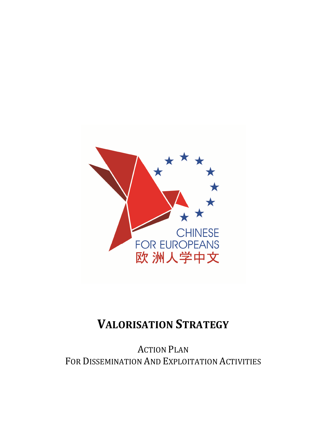

# **VALORISATION STRATEGY**

ACTION PLAN FOR DISSEMINATION AND EXPLOITATION ACTIVITIES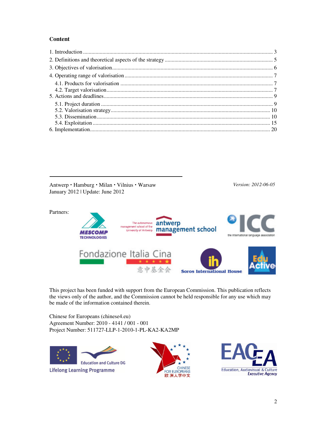#### **Content**

Antwerp · Hamburg · Milan · Vilnius · Warsaw *Version: 2012-06-05* January 2012 | Update: June 2012



This project has been funded with support from the European Commission. This publication reflects the views only of the author, and the Commission cannot be held responsible for any use which may be made of the information contained therein.

Chinese for Europeans (chinese4.eu) Agreement Number: 2010 - 4141 / 001 - 001 Project Number: 511727-LLP-1-2010-1-PL-KA2-KA2MP



**Lifelong Learning Programme** 



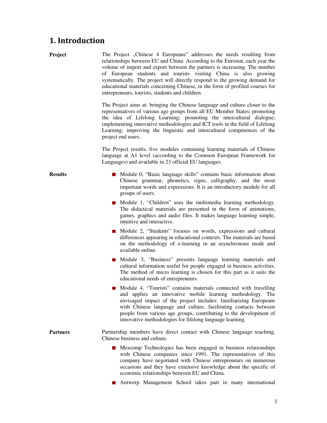### **1. Introduction**

**Project** The Project , Chinese 4 Europeans" addresses the needs resulting from relationships between EU and China. According to the Eurostat, each year the volume of import and export between the partners is increasing. The number of European students and tourists visiting China is also growing systematically. The project will directly respond to the growing demand for educational materials concerning Chinese, in the form of profiled courses for entrepreneurs, tourists, students and children.

> The Project aims at: bringing the Chinese language and culture closer to the representatives of various age groups from all EU Member States; promoting the idea of Lifelong Learning; promoting the intercultural dialogue; implementing innovative methodologies and ICT tools in the field of Lifelong Learning; improving the linguistic and intercultural competences of the project end users.

> The Project results, five modules containing learning materials of Chinese language at A1 level (according to the Common European Framework for Languages) and available in 23 official EU languages.

- **Results** Module 0, "Basic language skills" contains basic information about Chinese grammar, phonetics, signs, calligraphy, and the most important words and expressions. It is an introductory module for all groups of users.
	- Module 1, "Children" uses the multimedia learning methodology. The didactical materials are presented in the form of animations, games, graphics and audio files. It makes language learning simple, intuitive and interactive.
	- Module 2, "Students" focuses on words, expressions and cultural differences appearing in educational contexts. The materials are based on the methodology of e-learning in an asynchronous mode and available online.
	- Module 3, "Business" presents language learning materials and cultural information useful for people engaged in business activities. The method of micro learning is chosen for this part as it suits the educational needs of entrepreneurs.
	- Module 4, "Tourists" contains materials connected with travelling and applies an innovative mobile learning methodology. The envisaged impact of the project includes: familiarizing Europeans with Chinese language and culture, facilitating contacts between people from various age groups, contributing to the development of innovative methodologies for lifelong language learning.
- **Partners Partnership members have direct contact with Chinese language teaching,** Chinese business and culture.
	- **Mescomp Technologies has been engaged in business relationships** with Chinese companies since 1991. The representatives of this company have negotiated with Chinese entrepreneurs on numerous occasions and they have extensive knowledge about the specific of economic relationships between EU and China.
	- Antwerp Management School takes part in many international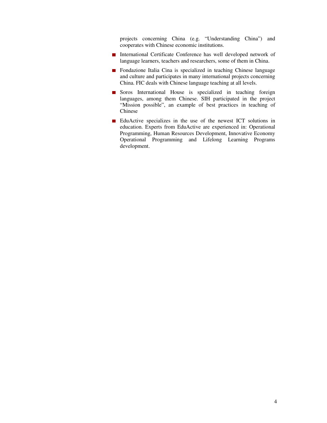projects concerning China (e.g. "Understanding China") and cooperates with Chinese economic institutions.

- International Certificate Conference has well developed network of language learners, teachers and researchers, some of them in China.
- **Fondazione Italia Cina is specialized in teaching Chinese language** and culture and participates in many international projects concerning China. FIC deals with Chinese language teaching at all levels.
- Soros International House is specialized in teaching foreign languages, among them Chinese. SIH participated in the project "Mission possible", an example of best practices in teaching of Chinese
- EduActive specializes in the use of the newest ICT solutions in education. Experts from EduActive are experienced in: Operational Programming, Human Resources Development, Innovative Economy Operational Programming and Lifelong Learning Programs development.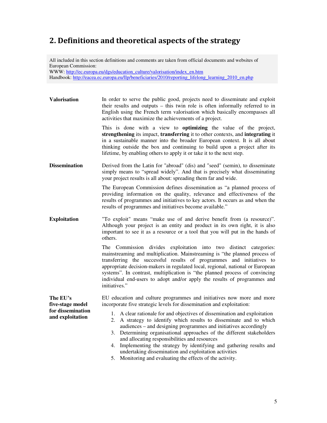# **2. Definitions and theoretical aspects of the strategy**

All included in this section definitions and comments are taken from official documents and websites of European Commission:

WWW: http://ec.europa.eu/dgs/education\_culture/valorisation/index\_en.htm Handbook: http://eacea.ec.europa.eu/llp/beneficiaries/2010/reporting\_lifelong\_learning\_2010\_en.php

**Valorisation** In order to serve the public good, projects need to disseminate and exploit their results and outputs – this twin role is often informally referred to in English using the French term valorisation which basically encompasses all activities that maximize the achievements of a project.

> This is done with a view to **optimizing** the value of the project, **strengthening** its impact, **transferring** it to other contexts, and **integrating** it in a sustainable manner into the broader European context. It is all about thinking outside the box and continuing to build upon a project after its lifetime, by enabling others to apply it or take it to the next step.

**Dissemination** Derived from the Latin for "abroad" (dis) and "seed" (semin), to disseminate simply means to "spread widely". And that is precisely what disseminating your project results is all about: spreading them far and wide.

> The European Commission defines dissemination as "a planned process of providing information on the quality, relevance and effectiveness of the results of programmes and initiatives to key actors. It occurs as and when the results of programmes and initiatives become available."

**Exploitation** "To exploit" means "make use of and derive benefit from (a resource)". Although your project is an entity and product in its own right, it is also important to see it as a resource or a tool that you will put in the hands of others.

> The Commission divides exploitation into two distinct categories: mainstreaming and multiplication. Mainstreaming is "the planned process of transferring the successful results of programmes and initiatives to appropriate decision-makers in regulated local, regional, national or European systems". In contrast, multiplication is "the planned process of convincing individual end-users to adopt and/or apply the results of programmes and initiatives."

**The EU's five-stage model for dissemination and exploitation**  EU education and culture programmes and initiatives now more and more incorporate five strategic levels for dissemination and exploitation: 1. A clear rationale for and objectives of dissemination and exploitation 2. A strategy to identify which results to disseminate and to which audiences – and designing programmes and initiatives accordingly

- 3. Determining organisational approaches of the different stakeholders and allocating responsibilities and resources
- 4. Implementing the strategy by identifying and gathering results and undertaking dissemination and exploitation activities
- 5. Monitoring and evaluating the effects of the activity.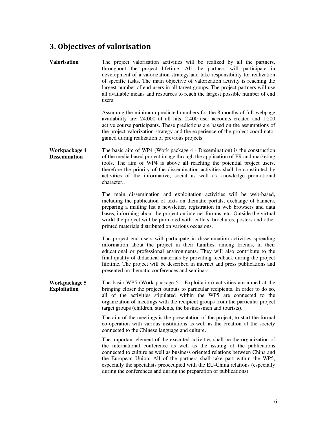# **3. Objectives of valorisation**

| <b>Valorisation</b>                   | The project valorisation activities will be realized by all the partners,<br>throughout the project lifetime. All the partners will participate in<br>development of a valorization strategy and take responsibility for realization<br>of specific tasks. The main objective of valorization activity is reaching the<br>largest number of end users in all target groups. The project partners will use<br>all available means and resources to reach the largest possible number of end<br>users. |
|---------------------------------------|------------------------------------------------------------------------------------------------------------------------------------------------------------------------------------------------------------------------------------------------------------------------------------------------------------------------------------------------------------------------------------------------------------------------------------------------------------------------------------------------------|
|                                       | Assuming the minimum predicted numbers for the 8 months of full webpage<br>availability are: 24.000 of all hits, 2.400 user accounts created and 1.200<br>active course participants. These predictions are based on the assumptions of<br>the project valorization strategy and the experience of the project coordinator<br>gained during realization of previous projects.                                                                                                                        |
| Workpackage 4<br><b>Dissemination</b> | The basic aim of WP4 (Work package 4 - Dissemination) is the construction<br>of the media based project image through the application of PR and marketing<br>tools. The aim of WP4 is above all reaching the potential project users,<br>therefore the priority of the dissemination activities shall be constituted by<br>activities of the informative, social as well as knowledge promotional<br>character                                                                                       |
|                                       | The main dissemination and exploitation activities will be web-based,<br>including the publication of texts on thematic portals, exchange of banners,<br>preparing a mailing list a newsletter, registration in web browsers and data<br>bases, informing about the project on internet forums, etc. Outside the virtual<br>world the project will be promoted with leaflets, brochures, posters and other<br>printed materials distributed on various occasions.                                    |
|                                       | The project end users will participate in dissemination activities spreading<br>information about the project in their families, among friends, in their<br>educational or professional environments. They will also contribute to the<br>final quality of didactical materials by providing feedback during the project<br>lifetime. The project will be described in internet and press publications and<br>presented on thematic conferences and seminars.                                        |
| Workpackage 5<br><b>Exploitation</b>  | The basic WP5 (Work package 5 - Exploitation) activities are aimed at the<br>bringing closer the project outputs to particular recipients. In order to do so,<br>all of the activities stipulated within the WP5 are connected to the<br>organization of meetings with the recipient groups from the particular project<br>target groups (children, students, the businessmen and tourists).                                                                                                         |
|                                       | The aim of the meetings is the presentation of the project, to start the formal<br>co-operation with various institutions as well as the creation of the society<br>connected to the Chinese language and culture.                                                                                                                                                                                                                                                                                   |
|                                       | The important element of the executed activities shall be the organization of<br>the international conference as well as the issuing of the publications<br>connected to culture as well as business oriented relations between China and<br>the European Union. All of the partners shall take part within the WP5,<br>especially the specialists preoccupied with the EU-China relations (especially<br>during the conferences and during the preparation of publications).                        |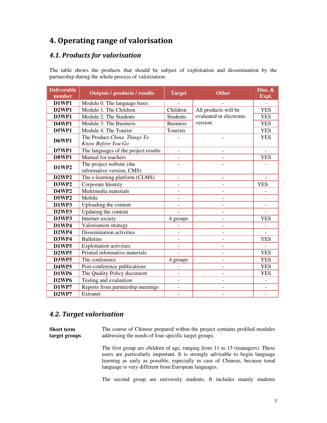# **4. Operating range of valorisation**

### *4.1. Products for valorisation*

The table shows the products that should be subject of exploitation and dissemination by the partnership during the whole process of valorization.

| <b>Deliverable</b><br>number   | <b>Outputs / products / results</b>  | <b>Target</b>            | <b>Other</b>             | Diss. &                  |
|--------------------------------|--------------------------------------|--------------------------|--------------------------|--------------------------|
| D1WP1                          | Module 0. The language basis         |                          |                          | Expl.                    |
| <b>D2WP1</b>                   | Module 1. The Children               | Children                 | All products will be     | <b>YES</b>               |
| D3WP1                          | Module 2. The Students               | <b>Students</b>          | evaluated in electronic  | <b>YES</b>               |
| <b>D4WP1</b>                   | Module 3. The Business               | <b>Business</b>          | version.                 | <b>YES</b>               |
| <b>D5WP1</b>                   | Module 4. The Tourist                | Tourists                 |                          | <b>YES</b>               |
|                                | The Product China. Things To         |                          |                          | <b>YES</b>               |
| <b>D6WP1</b>                   | Know Before You Go                   |                          |                          |                          |
| <b>D7WP1</b>                   | The languages of the project results | $\overline{a}$           |                          | $\blacksquare$           |
| D8WP1                          | Manual for teachers                  | $\overline{\phantom{0}}$ |                          | <b>YES</b>               |
| <b>D1WP2</b>                   | The project website (the             |                          |                          |                          |
|                                | informative version, CMS)            |                          |                          |                          |
| <b>D2WP2</b>                   | The e-learning platform (CLMS)       | $\qquad \qquad -$        | $\overline{a}$           | $\overline{\phantom{a}}$ |
| D3WP2                          | Corporate Identity                   |                          |                          | <b>YES</b>               |
| <b>D4WP2</b>                   | Multimedia materials                 | $\frac{1}{2}$            |                          |                          |
| <b>D5WP2</b>                   | Mobile                               |                          |                          |                          |
| D1WP3                          | Uploading the content                | -                        |                          |                          |
| D <sub>2</sub> WP <sub>3</sub> | Updating the content                 | $\overline{a}$           | $\overline{a}$           |                          |
| D3WP3                          | Internet society                     | 4 groups                 |                          | <b>YES</b>               |
| <b>D1WP4</b>                   | Valorisation strategy                |                          | $\overline{a}$           |                          |
| D <sub>2</sub> WP <sub>4</sub> | Dissemination activities             |                          |                          |                          |
| D3WP4                          | <b>Bulletins</b>                     | $\overline{a}$           |                          | <b>YES</b>               |
| <b>D1WP5</b>                   | <b>Exploitation activities</b>       |                          |                          |                          |
| <b>D2WP5</b>                   | Printed informative materials        |                          |                          | <b>YES</b>               |
| <b>D3WP5</b>                   | The conference                       | 4 groups                 | $\overline{\phantom{a}}$ | <b>YES</b>               |
| <b>D4WP5</b>                   | Post-conference publications         |                          | $\overline{a}$           | <b>YES</b>               |
| <b>D1WP6</b>                   | The Quality Policy document          | $\qquad \qquad -$        | $\frac{1}{2}$            | <b>YES</b>               |
| D <sub>2</sub> WP <sub>6</sub> | Testing and evaluation               | $\overline{a}$           | $\overline{a}$           |                          |
| <b>D1WP7</b>                   | Reports from partnership meetings    | $\overline{a}$           |                          |                          |
| D <sub>2</sub> WP <sub>7</sub> | Extranet                             | $\overline{\phantom{a}}$ | $\overline{a}$           | $\equiv$                 |

### *4.2. Target valorisation*

**Short term target groups**  The course of Chinese prepared within the project contains profiled modules addressing the needs of four specific target groups.

> The first group are children of age, ranging from 11 to 15 (teenagers). These users are particularly important. It is strongly advisable to begin language learning as early as possible, especially in case of Chinese, because tonal language is very different from European languages.

> The second group are university students. It includes mainly students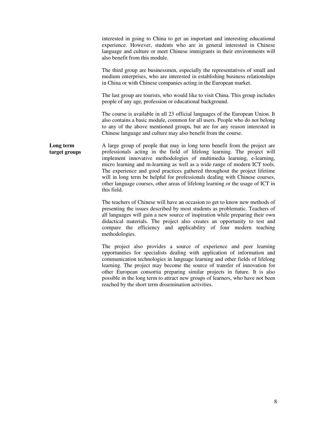|                            | interested in going to China to get an important and interesting educational<br>experience. However, students who are in general interested in Chinese<br>language and culture or meet Chinese immigrants in their environments will<br>also benefit from this module.                                                                                                                                                                                                                                                                                                         |
|----------------------------|--------------------------------------------------------------------------------------------------------------------------------------------------------------------------------------------------------------------------------------------------------------------------------------------------------------------------------------------------------------------------------------------------------------------------------------------------------------------------------------------------------------------------------------------------------------------------------|
|                            | The third group are businessmen, especially the representatives of small and<br>medium enterprises, who are interested in establishing business relationships<br>in China or with Chinese companies acting in the European market.                                                                                                                                                                                                                                                                                                                                             |
|                            | The last group are tourists, who would like to visit China. This group includes<br>people of any age, profession or educational background.                                                                                                                                                                                                                                                                                                                                                                                                                                    |
|                            | The course is available in all 23 official languages of the European Union. It<br>also contains a basic module, common for all users. People who do not belong<br>to any of the above mentioned groups, but are for any reason interested in<br>Chinese language and culture may also benefit from the course.                                                                                                                                                                                                                                                                 |
| Long term<br>target groups | A large group of people that may in long term benefit from the project are<br>professionals acting in the field of lifelong learning. The project will<br>implement innovative methodologies of multimedia learning, e-learning,<br>micro learning and m-learning as well as a wide range of modern ICT tools.<br>The experience and good practices gathered throughout the project lifetime<br>will in long term be helpful for professionals dealing with Chinese courses,<br>other language courses, other areas of lifelong learning or the usage of ICT in<br>this field. |
|                            | The teachers of Chinese will have an occasion to get to know new methods of<br>presenting the issues described by most students as problematic. Teachers of<br>all languages will gain a new source of inspiration while preparing their own<br>didactical materials. The project also creates an opportunity to test and<br>compare the efficiency and applicability of four modern teaching<br>methodologies.                                                                                                                                                                |
|                            | The project also provides a source of experience and peer learning<br>opportunities for specialists dealing with application of information and<br>communication technologies in language learning and other fields of lifelong<br>learning. The project may become the source of transfer of innovation for<br>other European consortia preparing similar projects in future. It is also<br>possible in the long term to attract new groups of learners, who have not been<br>reached by the short term dissemination activities.                                             |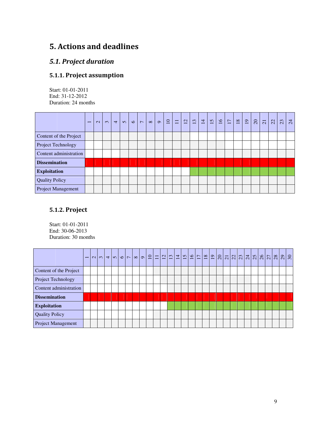# **5. Actions and deadlines**

### *5.1. Project duration*

# **5.1.1. Project assumption**

Start: 01-01-2011 End: 31-12-2012 Duration: 24 months

|                           | $\overline{\phantom{0}}$ | $\sim$ | $\infty$ | $\overline{4}$ | $\Omega$ | $\circ$ | $\overline{ }$ | $\infty$ | $\sigma$ | $\overline{10}$ | $\equiv$ | 12 | 13 | $\overline{14}$ | $\overline{15}$ | $\overline{16}$ | $\Box$ | $\overline{18}$ | $\overline{19}$ | $\overline{c}$ | $\overline{21}$ | 22 | 23 | 24 |
|---------------------------|--------------------------|--------|----------|----------------|----------|---------|----------------|----------|----------|-----------------|----------|----|----|-----------------|-----------------|-----------------|--------|-----------------|-----------------|----------------|-----------------|----|----|----|
| Content of the Project    |                          |        |          |                |          |         |                |          |          |                 |          |    |    |                 |                 |                 |        |                 |                 |                |                 |    |    |    |
| Project Technology        |                          |        |          |                |          |         |                |          |          |                 |          |    |    |                 |                 |                 |        |                 |                 |                |                 |    |    |    |
| Content administration    |                          |        |          |                |          |         |                |          |          |                 |          |    |    |                 |                 |                 |        |                 |                 |                |                 |    |    |    |
| <b>Dissemination</b>      |                          |        |          |                |          |         |                |          |          |                 |          |    |    |                 |                 |                 |        |                 |                 |                |                 |    |    |    |
| <b>Exploitation</b>       |                          |        |          |                |          |         |                |          |          |                 |          |    |    |                 |                 |                 |        |                 |                 |                |                 |    |    |    |
| <b>Quality Policy</b>     |                          |        |          |                |          |         |                |          |          |                 |          |    |    |                 |                 |                 |        |                 |                 |                |                 |    |    |    |
| <b>Project Management</b> |                          |        |          |                |          |         |                |          |          |                 |          |    |    |                 |                 |                 |        |                 |                 |                |                 |    |    |    |

### **5.1.2. Project**

Start: 01-01-2011 End: 30-06-2013 Duration: 30 months

| Content of the Project |  |  |  |  |  |  |  |  |  |  |  |  |  |  |  |
|------------------------|--|--|--|--|--|--|--|--|--|--|--|--|--|--|--|
| Project Technology     |  |  |  |  |  |  |  |  |  |  |  |  |  |  |  |
| Content administration |  |  |  |  |  |  |  |  |  |  |  |  |  |  |  |
| <b>Dissemination</b>   |  |  |  |  |  |  |  |  |  |  |  |  |  |  |  |
| <b>Exploitation</b>    |  |  |  |  |  |  |  |  |  |  |  |  |  |  |  |
| <b>Quality Policy</b>  |  |  |  |  |  |  |  |  |  |  |  |  |  |  |  |
| Project Management     |  |  |  |  |  |  |  |  |  |  |  |  |  |  |  |
|                        |  |  |  |  |  |  |  |  |  |  |  |  |  |  |  |
|                        |  |  |  |  |  |  |  |  |  |  |  |  |  |  |  |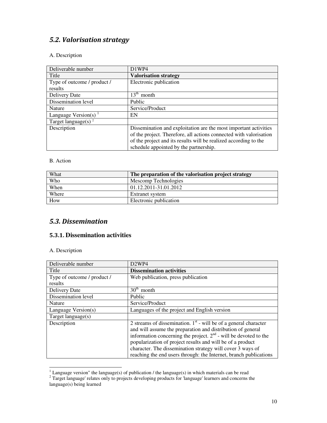# *5.2. Valorisation strategy*

#### A. Description

| Deliverable number          | D1WP4                                                              |
|-----------------------------|--------------------------------------------------------------------|
| Title                       | <b>Valorisation strategy</b>                                       |
| Type of outcome / product / | Electronic publication                                             |
| results                     |                                                                    |
| Delivery Date               | $13^{\text{th}}$<br>month                                          |
| Dissemination level         | Public                                                             |
| Nature                      | Service/Product                                                    |
| Language Version(s)         | EN                                                                 |
| Target language(s) $2$      |                                                                    |
| Description                 | Dissemination and exploitation are the most important activities   |
|                             | of the project. Therefore, all actions connected with valorisation |
|                             | of the project and its results will be realized according to the   |
|                             | schedule appointed by the partnership.                             |

#### B. Action

| What  | The preparation of the valorisation project strategy |
|-------|------------------------------------------------------|
| Who   | Mescomp Technologies                                 |
| When  | 01.12.2011-31.01.2012                                |
| Where | Extranet system                                      |
| How   | Electronic publication                               |

### *5.3. Dissemination*

#### **5.3.1. Dissemination activities**

| Deliverable number          | D <sub>2</sub> WP <sub>4</sub>                                     |
|-----------------------------|--------------------------------------------------------------------|
| Title                       | <b>Dissemination activities</b>                                    |
| Type of outcome / product / | Web publication, press publication                                 |
| results                     |                                                                    |
| Delivery Date               | $30th$ month                                                       |
| Dissemination level         | Public                                                             |
| Nature                      | Service/Product                                                    |
| Language Version(s)         | Languages of the project and English version                       |
| Target language $(s)$       |                                                                    |
| Description                 | 2 streams of dissemination. $1st$ - will be of a general character |
|                             | and will assume the preparation and distribution of general        |
|                             | information concerning the project. $2nd$ - will be devoted to the |
|                             | popularization of project results and will be of a product         |
|                             | character. The dissemination strategy will cover 3 ways of         |
|                             | reaching the end users through: the Internet, branch publications  |

<sup>&</sup>lt;sup>1</sup> Language version" the language(s) of publication */* the language(s) in which materials can be read  $2^2$  Target language' relates only to projects developing products for 'language' learners and concerns the language(s) being learned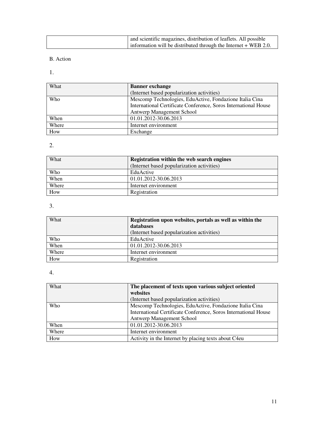| and scientific magazines, distribution of leaflets. All possible  |
|-------------------------------------------------------------------|
| information will be distributed through the Internet $+$ WEB 2.0. |

#### B. Action

1.

| What  | <b>Banner</b> exchange                                          |
|-------|-----------------------------------------------------------------|
|       | (Internet based popularization activities)                      |
| Who   | Mescomp Technologies, EduActive, Fondazione Italia Cina         |
|       | International Certificate Conference, Soros International House |
|       | Antwerp Management School                                       |
| When  | 01.01.2012-30.06.2013                                           |
| Where | Internet environment                                            |
| How   | Exchange                                                        |

# 2.

| What  | Registration within the web search engines<br>(Internet based popularization activities) |
|-------|------------------------------------------------------------------------------------------|
| Who   | EduActive                                                                                |
| When  | 01.01.2012-30.06.2013                                                                    |
| Where | Internet environment                                                                     |
| How   | Registration                                                                             |

3.

| What  | Registration upon websites, portals as well as within the |
|-------|-----------------------------------------------------------|
|       | databases                                                 |
|       | (Internet based popularization activities)                |
| Who   | EduActive                                                 |
| When  | 01.01.2012-30.06.2013                                     |
| Where | Internet environment                                      |
| How   | Registration                                              |

| What  | The placement of texts upon various subject oriented            |
|-------|-----------------------------------------------------------------|
|       | websites                                                        |
|       | (Internet based popularization activities)                      |
| Who   | Mescomp Technologies, EduActive, Fondazione Italia Cina         |
|       | International Certificate Conference, Soros International House |
|       | Antwerp Management School                                       |
| When  | 01.01.2012-30.06.2013                                           |
| Where | Internet environment                                            |
| How   | Activity in the Internet by placing texts about C4eu            |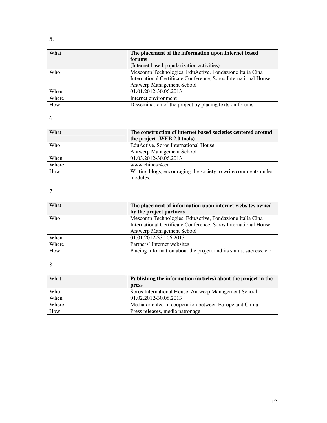| What  | The placement of the information upon Internet based            |
|-------|-----------------------------------------------------------------|
|       | forums                                                          |
|       | (Internet based popularization activities)                      |
| Who   | Mescomp Technologies, EduActive, Fondazione Italia Cina         |
|       | International Certificate Conference, Soros International House |
|       | Antwerp Management School                                       |
| When  | 01.01.2012-30.06.2013                                           |
| Where | Internet environment                                            |
| How   | Dissemination of the project by placing texts on forums         |

| What  | The construction of internet based societies centered around   |
|-------|----------------------------------------------------------------|
|       | the project (WEB 2.0 tools)                                    |
| Who   | EduActive, Soros International House                           |
|       | Antwerp Management School                                      |
| When  | 01.03.2012-30.06.2013                                          |
| Where | www.chinese4.eu                                                |
| How   | Writing blogs, encouraging the society to write comments under |
|       | modules.                                                       |

# 7.

| What       | The placement of information upon internet websites owned           |
|------------|---------------------------------------------------------------------|
|            | by the project partners                                             |
| <b>Who</b> | Mescomp Technologies, EduActive, Fondazione Italia Cina             |
|            | International Certificate Conference, Soros International House     |
|            | Antwerp Management School                                           |
| When       | 01.01.2012-330.06.2013                                              |
| Where      | Partners' Internet websites                                         |
| How        | Placing information about the project and its status, success, etc. |

| What  | Publishing the information (articles) about the project in the |
|-------|----------------------------------------------------------------|
|       | press                                                          |
| Who   | Soros International House, Antwerp Management School           |
| When  | 01.02.2012-30.06.2013                                          |
| Where | Media oriented in cooperation between Europe and China         |
| How   | Press releases, media patronage                                |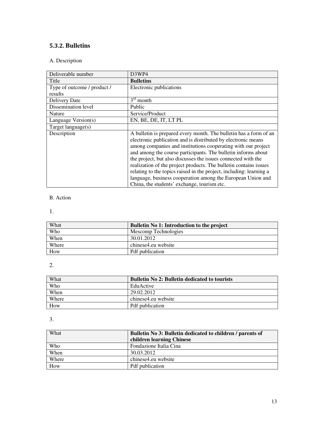### **5.3.2. Bulletins**

#### A. Description

| Deliverable number          | D <sub>3</sub> WP <sub>4</sub>                                      |
|-----------------------------|---------------------------------------------------------------------|
| Title                       | <b>Bulletins</b>                                                    |
| Type of outcome / product / | Electronic publications                                             |
| results                     |                                                                     |
| Delivery Date               | $3^{\text{rd}}$<br>month                                            |
| Dissemination level         | Public                                                              |
| Nature                      | Service/Product                                                     |
| Language Version(s)         | EN, BE, DE, IT, LT PL                                               |
| Target language(s)          |                                                                     |
| Description                 | A bulletin is prepared every month. The bulletin has a form of an   |
|                             | electronic publication and is distributed by electronic means       |
|                             | among companies and institutions cooperating with our project       |
|                             | and among the course participants. The bulletin informs about       |
|                             | the project, but also discusses the issues connected with the       |
|                             | realization of the project products. The bulletin contains issues   |
|                             | relating to the topics raised in the project, including: learning a |
|                             | language, business cooperation among the European Union and         |
|                             | China, the students' exchange, tourism etc.                         |

#### B. Action

#### 1.

| What  | <b>Bulletin No 1: Introduction to the project</b> |
|-------|---------------------------------------------------|
| Who   | Mescomp Technologies                              |
| When  | 30.01.2012                                        |
| Where | chinese4.eu website                               |
| How   | Pdf publication                                   |

#### 2.

| What  | <b>Bulletin No 2: Bulletin dedicated to tourists</b> |
|-------|------------------------------------------------------|
| Who   | EduActive                                            |
| When  | 29.02.2012                                           |
| Where | chinese4.eu website                                  |
| How   | Pdf publication                                      |

| <b>What</b> | Bulletin No 3: Bulletin dedicated to children / parents of |
|-------------|------------------------------------------------------------|
|             | children learning Chinese                                  |
| Who         | Fondazione Italia Cina                                     |
| When        | 30.03.2012                                                 |
| Where       | chinese4.eu website                                        |
| How         | Pdf publication                                            |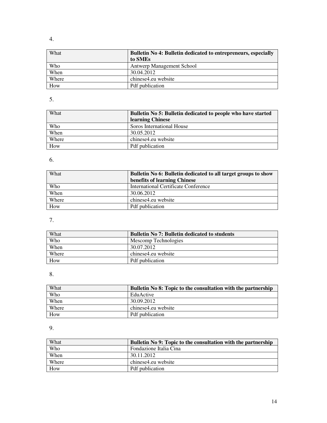| What  | Bulletin No 4: Bulletin dedicated to entrepreneurs, especially<br>to SME <sub>s</sub> |
|-------|---------------------------------------------------------------------------------------|
| Who   | <b>Antwerp Management School</b>                                                      |
| When  | 30.04.2012                                                                            |
| Where | chinese4.eu website                                                                   |
| How   | <b>Pdf</b> publication                                                                |

# 5.

| What  | Bulletin No 5: Bulletin dedicated to people who have started |
|-------|--------------------------------------------------------------|
|       | learning Chinese                                             |
| Who   | Soros International House                                    |
| When  | 30.05.2012                                                   |
| Where | chinese4.eu website                                          |
| How   | Pdf publication                                              |

# 6.

| What  | Bulletin No 6: Bulletin dedicated to all target groups to show<br>benefits of learning Chinese |
|-------|------------------------------------------------------------------------------------------------|
| Who   | International Certificate Conference                                                           |
| When  | 30.06.2012                                                                                     |
| Where | chinese4.eu website                                                                            |
| How   | Pdf publication                                                                                |

# 7.

| What  | <b>Bulletin No.7: Bulletin dedicated to students</b> |
|-------|------------------------------------------------------|
| Who   | Mescomp Technologies                                 |
| When  | 30.07.2012                                           |
| Where | chinese4.eu website                                  |
| How   | <b>Pdf</b> publication                               |

# 8.

| What  | Bulletin No 8: Topic to the consultation with the partnership |
|-------|---------------------------------------------------------------|
| Who   | EduActive                                                     |
| When  | 30.09.2012                                                    |
| Where | chinese4.eu website                                           |
| How   | Pdf publication                                               |

| What  | Bulletin No 9: Topic to the consultation with the partnership |
|-------|---------------------------------------------------------------|
| Who   | Fondazione Italia Cina                                        |
| When  | 30.11.2012                                                    |
| Where | chinese4.eu website                                           |
| How   | <b>Pdf</b> publication                                        |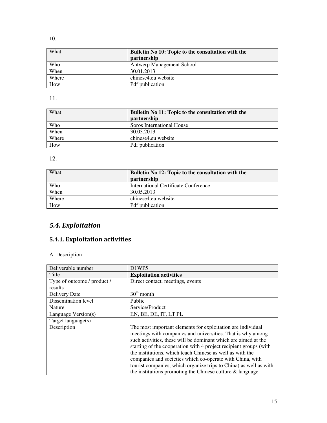| What  | Bulletin No 10: Topic to the consultation with the<br>partnership |
|-------|-------------------------------------------------------------------|
| Who   | <b>Antwerp Management School</b>                                  |
| When  | 30.01.2013                                                        |
| Where | chinese4.eu website                                               |
| How   | <b>Pdf</b> publication                                            |

11.

| What  | Bulletin No 11: Topic to the consultation with the<br>partnership |
|-------|-------------------------------------------------------------------|
| Who   | Soros International House                                         |
| When  | 30.03.2013                                                        |
| Where | chinese4.eu website                                               |
| How   | <b>Pdf</b> publication                                            |

12.

| What  | Bulletin No 12: Topic to the consultation with the |
|-------|----------------------------------------------------|
|       | partnership                                        |
| Who   | International Certificate Conference               |
| When  | 30.05.2013                                         |
| Where | chinese4.eu website                                |
| How   | Pdf publication                                    |

# *5.4. Exploitation*

# **5.4.1. Exploitation activities**

| Deliverable number          | D1WP5                                                                                                                      |
|-----------------------------|----------------------------------------------------------------------------------------------------------------------------|
| Title                       | <b>Exploitation activities</b>                                                                                             |
| Type of outcome / product / | Direct contact, meetings, events                                                                                           |
| results                     |                                                                                                                            |
| Delivery Date               | $30th$ month                                                                                                               |
| Dissemination level         | Public                                                                                                                     |
| <b>Nature</b>               | Service/Product                                                                                                            |
| Language Version(s)         | EN, BE, DE, IT, LT PL                                                                                                      |
| Target language(s)          |                                                                                                                            |
| Description                 | The most important elements for exploitation are individual<br>meetings with companies and universities. That is why among |
|                             | such activities, these will be dominant which are aimed at the                                                             |
|                             | starting of the cooperation with 4 project recipient groups (with                                                          |
|                             | the institutions, which teach Chinese as well as with the                                                                  |
|                             | companies and societies which co-operate with China, with                                                                  |
|                             | tourist companies, which organize trips to China) as well as with                                                          |
|                             | the institutions promoting the Chinese culture $\&$ language.                                                              |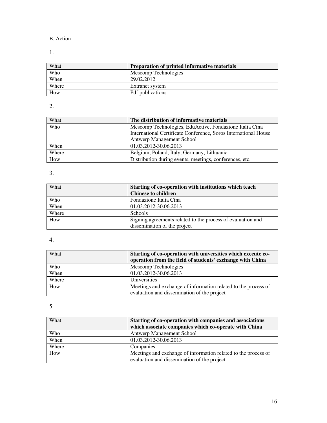#### B. Action

### 1.

| What  | Preparation of printed informative materials |
|-------|----------------------------------------------|
| Who   | Mescomp Technologies                         |
| When  | 29.02.2012                                   |
| Where | Extranet system                              |
| How   | <b>Pdf</b> publications                      |

# 2.

| What  | The distribution of informative materials                       |
|-------|-----------------------------------------------------------------|
| Who   | Mescomp Technologies, EduActive, Fondazione Italia Cina         |
|       | International Certificate Conference, Soros International House |
|       | Antwerp Management School                                       |
| When  | 01.03.2012-30.06.2013                                           |
| Where | Belgium, Poland, Italy, Germany, Lithuania                      |
| How   | Distribution during events, meetings, conferences, etc.         |

### 3.

| What  | Starting of co-operation with institutions which teach      |
|-------|-------------------------------------------------------------|
|       | <b>Chinese to children</b>                                  |
| Who   | Fondazione Italia Cina                                      |
| When  | 01.03.2012-30.06.2013                                       |
| Where | <b>Schools</b>                                              |
| How   | Signing agreements related to the process of evaluation and |
|       | dissemination of the project                                |

### 4.

| What  | Starting of co-operation with universities which execute co-   |
|-------|----------------------------------------------------------------|
|       | operation from the field of students' exchange with China      |
| Who   | Mescomp Technologies                                           |
| When  | 01.03.2012-30.06.2013                                          |
| Where | Universities                                                   |
| How   | Meetings and exchange of information related to the process of |
|       | evaluation and dissemination of the project                    |

| What  | Starting of co-operation with companies and associations       |  |
|-------|----------------------------------------------------------------|--|
|       | which associate companies which co-operate with China          |  |
| Who   | <b>Antwerp Management School</b>                               |  |
| When  | 01.03.2012-30.06.2013                                          |  |
| Where | Companies                                                      |  |
| How   | Meetings and exchange of information related to the process of |  |
|       | evaluation and dissemination of the project                    |  |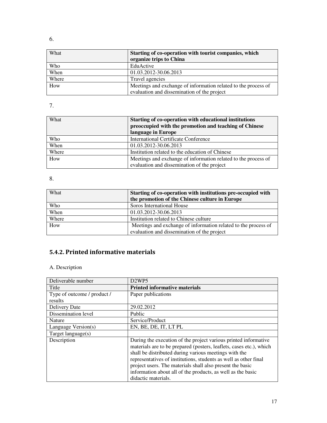| What  | Starting of co-operation with tourist companies, which<br>organize trips to China |  |
|-------|-----------------------------------------------------------------------------------|--|
| Who   | EduActive                                                                         |  |
| When  | 01.03.2012-30.06.2013                                                             |  |
| Where | Travel agencies                                                                   |  |
| How   | Meetings and exchange of information related to the process of                    |  |
|       | evaluation and dissemination of the project                                       |  |

| What  | Starting of co-operation with educational institutions<br>preoccupied with the promotion and teaching of Chinese |  |
|-------|------------------------------------------------------------------------------------------------------------------|--|
|       | language in Europe                                                                                               |  |
| Who   | <b>International Certificate Conference</b>                                                                      |  |
| When  | 01.03.2012-30.06.2013                                                                                            |  |
| Where | Institution related to the education of Chinese                                                                  |  |
| How   | Meetings and exchange of information related to the process of                                                   |  |
|       | evaluation and dissemination of the project                                                                      |  |

8.

| What  | Starting of co-operation with institutions pre-occupied with   |  |
|-------|----------------------------------------------------------------|--|
|       | the promotion of the Chinese culture in Europe                 |  |
| Who   | Soros International House                                      |  |
| When  | 01.03.2012-30.06.2013                                          |  |
| Where | Institution related to Chinese culture                         |  |
| How   | Meetings and exchange of information related to the process of |  |
|       | evaluation and dissemination of the project                    |  |

# **5.4.2. Printed informative materials**

| Deliverable number          | D <sub>2</sub> WP <sub>5</sub>                                      |  |
|-----------------------------|---------------------------------------------------------------------|--|
| Title                       | <b>Printed informative materials</b>                                |  |
| Type of outcome / product / | Paper publications                                                  |  |
| results                     |                                                                     |  |
| Delivery Date               | 29.02.2012                                                          |  |
| Dissemination level         | Public                                                              |  |
| Nature                      | Service/Product                                                     |  |
| Language Version(s)         | EN, BE, DE, IT, LT PL                                               |  |
| Target language(s)          |                                                                     |  |
| Description                 | During the execution of the project various printed informative     |  |
|                             | materials are to be prepared (posters, leaflets, cases etc.), which |  |
|                             | shall be distributed during various meetings with the               |  |
|                             | representatives of institutions, students as well as other final    |  |
|                             | project users. The materials shall also present the basic           |  |
|                             | information about all of the products, as well as the basic         |  |
|                             | didactic materials.                                                 |  |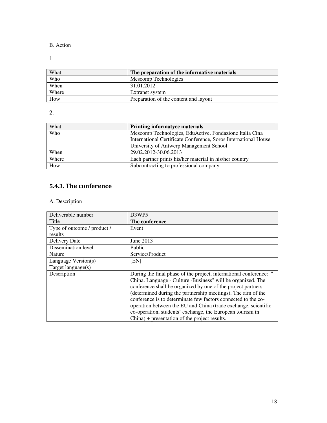#### B. Action

1.

| What  | The preparation of the informative materials |  |
|-------|----------------------------------------------|--|
| Who   | Mescomp Technologies                         |  |
| When  | 31.01.2012                                   |  |
| Where | Extranet system                              |  |
| How   | Preparation of the content and layout        |  |

2.

| What       | Printing informatyce materials                                  |  |
|------------|-----------------------------------------------------------------|--|
| <b>Who</b> | Mescomp Technologies, EduActive, Fondazione Italia Cina         |  |
|            | International Certificate Conference, Soros International House |  |
|            | University of Antwerp Management School                         |  |
| When       | 29.02.2012-30.06.2013                                           |  |
| Where      | Each partner prints his/her material in his/her country         |  |
| How        | Subcontracting to professional company                          |  |

### **5.4.3. The conference**

| Deliverable number          | D3WP5                                                              |  |
|-----------------------------|--------------------------------------------------------------------|--|
| Title                       | The conference                                                     |  |
| Type of outcome / product / | Event                                                              |  |
| results                     |                                                                    |  |
| Delivery Date               | June 2013                                                          |  |
| Dissemination level         | Public                                                             |  |
| Nature                      | Service/Product                                                    |  |
| Language Version(s)         | [EN]                                                               |  |
| Target language(s)          |                                                                    |  |
| Description                 | During the final phase of the project, international conference: " |  |
|                             | China. Language - Culture -Business" will be organized. The        |  |
|                             | conference shall be organized by one of the project partners       |  |
|                             | (determined during the partnership meetings). The aim of the       |  |
|                             | conference is to determinate few factors connected to the co-      |  |
|                             | operation between the EU and China (trade exchange, scientific     |  |
|                             | co-operation, students' exchange, the European tourism in          |  |
|                             | $China$ + presentation of the project results.                     |  |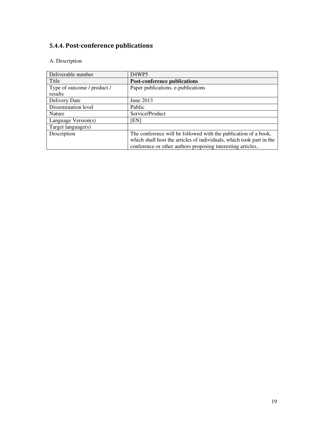# **5.4.4. Post-conference publications**

| Deliverable number          | D <sub>4</sub> WP <sub>5</sub>                                       |  |
|-----------------------------|----------------------------------------------------------------------|--|
| Title                       | <b>Post-conference publications</b>                                  |  |
| Type of outcome / product / | Paper publications, e-publications                                   |  |
| results                     |                                                                      |  |
| Delivery Date               | June 2013                                                            |  |
| Dissemination level         | Public                                                               |  |
| Nature                      | Service/Product                                                      |  |
| Language Version(s)         | ENI                                                                  |  |
| Target language(s)          |                                                                      |  |
| Description                 | The conference will be followed with the publication of a book,      |  |
|                             | which shall host the articles of individuals, which took part in the |  |
|                             | conference or other authors proposing interesting articles           |  |